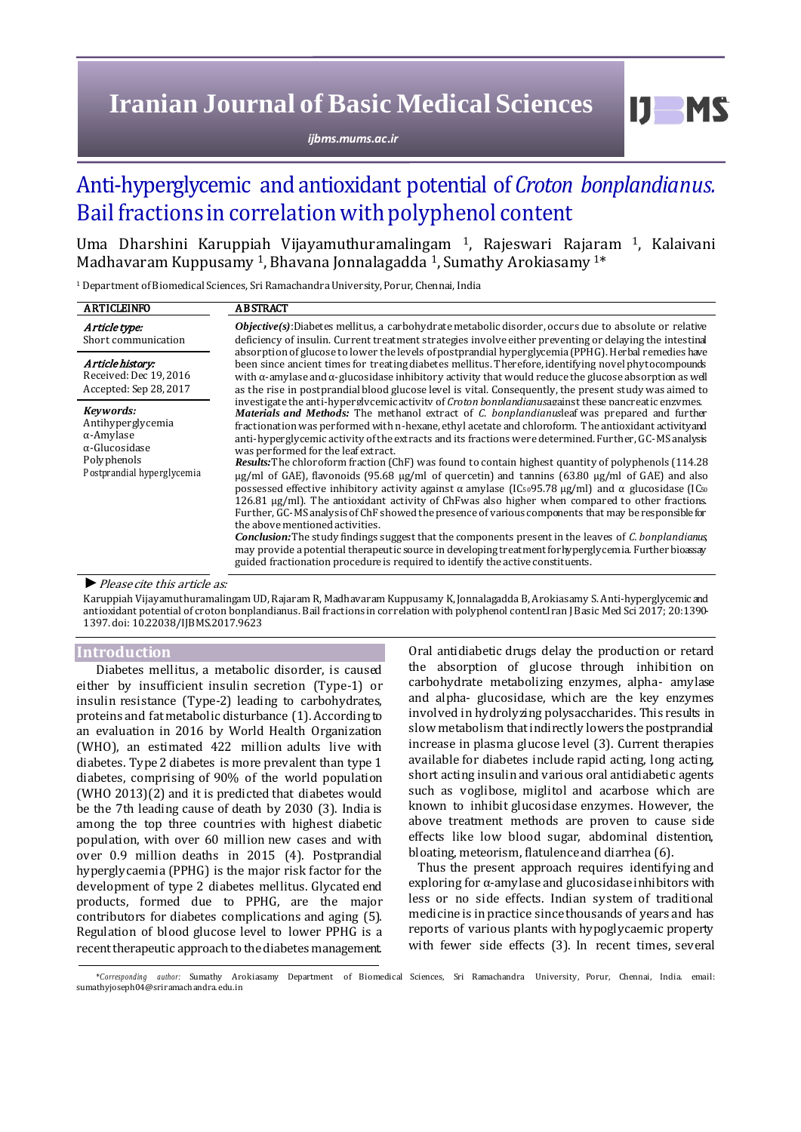# **Iranian Journal of Basic Medical Sciences**

*ijbms.mums.ac.ir*

## Anti-hyperglycemic and antioxidant potential of *Croton bonplandianus.* Bail fractions in correlation with polyphenol content

Uma Dharshini Karuppiah Vijayamuthuramalingam <sup>1</sup>, Rajeswari Rajaram 1, Kalaivani Madhavaram Kuppusamy <sup>1</sup>, Bhavana Jonnalagadda <sup>1</sup>, Sumathy Arokiasamy  $1^*$ 

<sup>1</sup> Department of Biomedical Sciences, Sri Ramachandra University, Porur, Chennai, India

| <b>ARTICLEINFO</b>                                                                                                        | <b>ABSTRACT</b>                                                                                                                                                                                                                                                                                                                                                                                                                                                                                                                                                                                                                                                                                                                                                                                                                                                                                                                                                                                                                                                                                                                                                                                                                                                                                                                                                                                                |  |  |
|---------------------------------------------------------------------------------------------------------------------------|----------------------------------------------------------------------------------------------------------------------------------------------------------------------------------------------------------------------------------------------------------------------------------------------------------------------------------------------------------------------------------------------------------------------------------------------------------------------------------------------------------------------------------------------------------------------------------------------------------------------------------------------------------------------------------------------------------------------------------------------------------------------------------------------------------------------------------------------------------------------------------------------------------------------------------------------------------------------------------------------------------------------------------------------------------------------------------------------------------------------------------------------------------------------------------------------------------------------------------------------------------------------------------------------------------------------------------------------------------------------------------------------------------------|--|--|
| Article type:<br>Short communication                                                                                      | $Objective(s)$ : Diabetes mellitus, a carbohydrate metabolic disorder, occurs due to absolute or relative<br>deficiency of insulin. Current treatment strategies involve either preventing or delaying the intestinal<br>absorption of glucose to lower the levels of postprandial hyperglycemia (PPHG). Herbal remedies have                                                                                                                                                                                                                                                                                                                                                                                                                                                                                                                                                                                                                                                                                                                                                                                                                                                                                                                                                                                                                                                                                  |  |  |
| Article history:<br>Received: Dec 19, 2016<br>Accepted: Sep 28, 2017                                                      | been since ancient times for treating diabetes mellitus. Therefore, identifying novel phytocompounds<br>with $\alpha$ -amylase and $\alpha$ -glucosidase inhibitory activity that would reduce the glucose absorption as well<br>as the rise in postprandial blood glucose level is vital. Consequently, the present study was aimed to                                                                                                                                                                                                                                                                                                                                                                                                                                                                                                                                                                                                                                                                                                                                                                                                                                                                                                                                                                                                                                                                        |  |  |
| Kevwords:<br>Antihyperglycemia<br>$\alpha$ -Amylase<br>$\alpha$ -Glucosidase<br>Polyphenols<br>Postprandial hyperglycemia | investigate the anti-hyperglycemic activity of Croton bonplandianus against these pancreatic enzymes.<br><b>Materials and Methods:</b> The methanol extract of C. bonplandianusleaf was prepared and further<br>fractionation was performed with n-hexane, ethyl acetate and chloroform. The antioxidant activity and<br>anti-hyperglycemic activity of the extracts and its fractions were determined. Further, GC-MS analysis<br>was performed for the leaf extract.<br><b>Results:</b> The chloroform fraction (ChF) was found to contain highest quantity of polyphenols (114.28<br>$\mu$ g/ml of GAE), flavonoids (95.68 $\mu$ g/ml of quercetin) and tannins (63.80 $\mu$ g/ml of GAE) and also<br>possessed effective inhibitory activity against $\alpha$ amylase (IC <sub>50</sub> 95.78 µg/ml) and $\alpha$ glucosidase (IC <sub>50</sub><br>126.81 μg/ml). The antioxidant activity of ChFwas also higher when compared to other fractions.<br>Further, GC-MS analysis of ChF showed the presence of various components that may be responsible for<br>the above mentioned activities.<br><b>Conclusion:</b> The study findings suggest that the components present in the leaves of C. bonplandianus,<br>may provide a potential therapeutic source in developing treatment for hyperglycemia. Further bioassay<br>guided fractionation procedure is required to identify the active constituents. |  |  |

## *►*Please cite this article as:

Karuppiah Vijayamuthuramalingam UD, Rajaram R, Madhavaram Kuppusamy K, Jonnalagadda B, Arokiasamy S. Anti-hyperglycemic and antioxidant potential of croton bonplandianus. Bail fractions in correlation with polyphenol content.Iran J Basic Med Sci 2017; 20:1390- 1397. doi: [10.22038/IJBMS.2017.9623](http://dx.doi.org/10.22038/ijbms.2017.9623)

## **Introduction**

Diabetes mellitus, a metabolic disorder, is caused either by insufficient insulin secretion (Type-1) or insulin resistance (Type-2) leading to carbohydrates, proteins and fat metabolic disturbance (1). According to an evaluation in 2016 by World Health Organization (WHO), an estimated 422 million adults live with diabetes. Type 2 diabetes is more prevalent than type 1 diabetes, comprising of 90% of the world population (WHO 2013)(2) and it is predicted that diabetes would be the 7th leading cause of death by 2030 (3). India is among the top three countries with highest diabetic population, with over 60 million new cases and with over 0.9 million deaths in 2015 (4). Postprandial hyperglycaemia (PPHG) is the major risk factor for the development of type 2 diabetes mellitus. Glycated end products, formed due to PPHG, are the major contributors for diabetes complications and aging (5). Regulation of blood glucose level to lower PPHG is a recent therapeutic approach to the diabetes management. Oral antidiabetic drugs delay the production or retard the absorption of glucose through inhibition on carbohydrate metabolizing enzymes, alpha- amylase and alpha- glucosidase, which are the key enzymes involved in hydrolyzing polysaccharides. This results in slow metabolism that indirectly lowers the postprandial increase in plasma glucose level (3). Current therapies available for diabetes include rapid acting, long acting, short acting insulin and various oral antidiabetic agents such as voglibose, miglitol and acarbose which are known to inhibit glucosidase enzymes. However, the above treatment methods are proven to cause side effects like low blood sugar, abdominal distention, bloating, meteorism, flatulence and diarrhea (6).

Thus the present approach requires identifying and exploring for α-amylase and glucosidase inhibitors with less or no side effects. Indian system of traditional medicine is in practice since thousands of years and has reports of various plants with hypoglycaemic property with fewer side effects (3). In recent times, several

*<sup>\*</sup>Corresponding author:* Sumathy Arokiasamy Department of Biomedical Sciences, Sri Ramachandra University, Porur, Chennai, India. email: sumathyjoseph04@sriramach andra. edu.in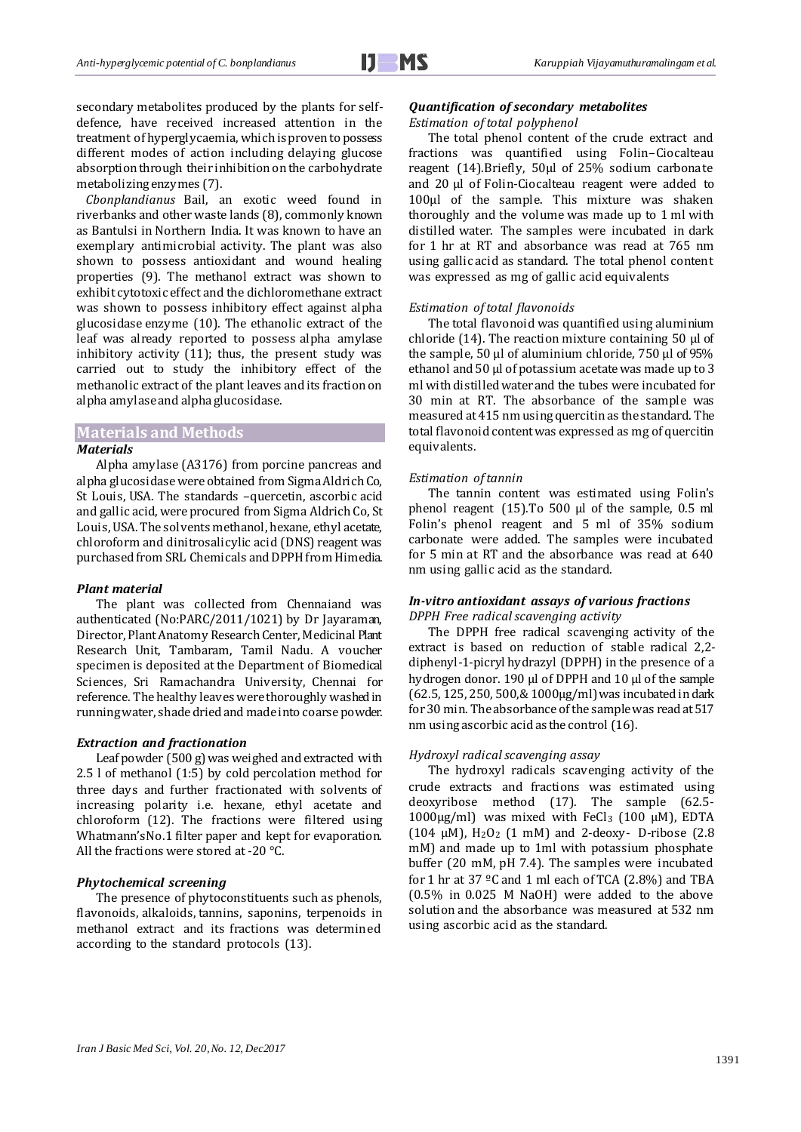secondary metabolites produced by the plants for selfdefence, have received increased attention in the treatment of hyperglycaemia, which is proven to possess different modes of action including delaying glucose absorption through their inhibition on the carbohydrate metabolizing enzymes (7).

*Cbonplandianus* Bail, an exotic weed found in riverbanks and other waste lands (8), commonly known as Bantulsi in Northern India. It was known to have an exemplary antimicrobial activity. The plant was also shown to possess antioxidant and wound healing properties (9). The methanol extract was shown to exhibit cytotoxic effect and the dichloromethane extract was shown to possess inhibitory effect against alpha glucosidase enzyme (10). The ethanolic extract of the leaf was already reported to possess alpha amylase inhibitory activity (11); thus, the present study was carried out to study the inhibitory effect of the methanolic extract of the plant leaves and its fraction on alpha amylase and alpha glucosidase.

## **Materials and Methods**

#### *Materials*

Alpha amylase (A3176) from porcine pancreas and alpha glucosidase were obtained from Sigma Aldrich Co, St Louis, USA. The standards –quercetin, ascorbic acid and gallic acid, were procured from Sigma Aldrich Co, St Louis, USA. The solvents methanol, hexane, ethyl acetate, chloroform and dinitrosalicylic acid (DNS) reagent was purchased from SRL Chemicals and DPPH from Himedia.

#### *Plant material*

The plant was collected from Chennaiand was authenticated (No:PARC/2011/1021) by Dr Jayaraman, Director, Plant Anatomy Research Center, Medicinal Plant Research Unit, Tambaram, Tamil Nadu. A voucher specimen is deposited at the Department of Biomedical Sciences, Sri Ramachandra University, Chennai for reference. The healthy leaves were thoroughly washed in running water, shade dried and made into coarse powder.

## *Extraction and fractionation*

Leaf powder (500 g) was weighed and extracted with 2.5 l of methanol (1:5) by cold percolation method for three days and further fractionated with solvents of increasing polarity i.e. hexane, ethyl acetate and chloroform (12). The fractions were filtered using Whatmann'sNo.1 filter paper and kept for evaporation. All the fractions were stored at -20 °C.

## *Phytochemical screening*

The presence of phytoconstituents such as phenols, flavonoids, alkaloids, tannins, saponins, terpenoids in methanol extract and its fractions was determined according to the standard protocols (13).

## *Quantification of secondary metabolites Estimation of total polyphenol*

The total phenol content of the crude extract and fractions was quantified using Folin–Ciocalteau reagent (14).Briefly, 50µl of 25% sodium carbonate and 20 µl of Folin-Ciocalteau reagent were added to 100µl of the sample. This mixture was shaken thoroughly and the volume was made up to 1 ml with distilled water. The samples were incubated in dark for 1 hr at RT and absorbance was read at 765 nm using gallic acid as standard. The total phenol content was expressed as mg of gallic acid equivalents

#### *Estimation of total flavonoids*

The total flavonoid was quantified using aluminium chloride (14). The reaction mixture containing 50 µl of the sample, 50 µl of aluminium chloride, 750 µl of 95% ethanol and 50 µl of potassium acetate was made up to 3 ml with distilled water and the tubes were incubated for 30 min at RT. The absorbance of the sample was measured at 415 nm using quercitin as the standard. The total flavonoid content was expressed as mg of quercitin equivalents.

#### *Estimation of tannin*

The tannin content was estimated using Folin's phenol reagent (15). To 500 µl of the sample, 0.5 ml Folin's phenol reagent and 5 ml of 35% sodium carbonate were added. The samples were incubated for 5 min at RT and the absorbance was read at 640 nm using gallic acid as the standard.

## *In-vitro antioxidant assays of various fractions DPPH Free radical scavenging activity*

The DPPH free radical scavenging activity of the extract is based on reduction of stable radical 2,2 diphenyl-1-picryl hydrazyl (DPPH) in the presence of a hydrogen donor. 190 µl of DPPH and 10 µl of the sample (62.5, 125, 250, 500,& 1000µg/ml)was incubated in dark for 30 min. The absorbance of the sample was read at 517 nm using ascorbic acid as the control (16).

## *Hydroxyl radical scavenging assay*

The hydroxyl radicals scavenging activity of the crude extracts and fractions was estimated using deoxyribose method (17). The sample (62.5- 1000 $\mu$ g/ml) was mixed with FeCl<sub>3</sub> (100  $\mu$ M), EDTA (104  $\mu$ M), H<sub>2</sub>O<sub>2</sub> (1 mM) and 2-deoxy- D-ribose (2.8) mM) and made up to 1ml with potassium phosphate buffer (20 mM, pH 7.4). The samples were incubated for 1 hr at 37 ºC and 1 ml each of TCA (2.8%) and TBA (0.5% in 0.025 M NaOH) were added to the above solution and the absorbance was measured at 532 nm using ascorbic acid as the standard.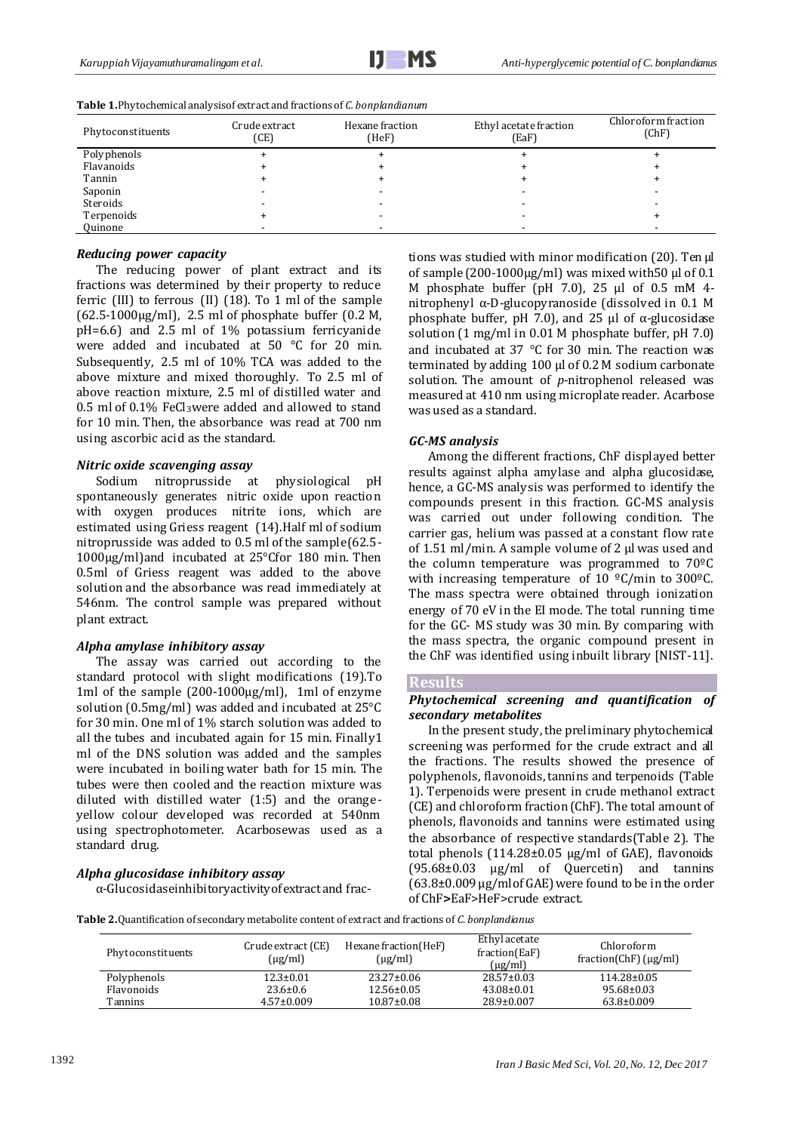| Phytoconstituents | Crude extract<br>(CE) | Hexane fraction<br>(HeF) | Ethyl acetate fraction<br>(EqF) | Chloroform fraction<br>(ChF) |
|-------------------|-----------------------|--------------------------|---------------------------------|------------------------------|
| Polyphenols       |                       |                          |                                 |                              |
| Flavanoids        |                       |                          |                                 |                              |
| Tannin            |                       |                          |                                 |                              |
| Saponin           |                       |                          |                                 |                              |
| Steroids          |                       |                          |                                 |                              |
| Terpenoids        |                       |                          |                                 |                              |
| Quinone           |                       |                          |                                 |                              |

**Table 1.**Phytochemical analysisof extract and fractions of *C. bonplandianum*

#### *Reducing power capacity*

The reducing power of plant extract and its fractions was determined by their property to reduce ferric (III) to ferrous (II) (18). To 1 ml of the sample (62.5-1000µg/ml), 2.5 ml of phosphate buffer (0.2 M, pH=6.6) and 2.5 ml of 1% potassium ferricyanide were added and incubated at 50 °C for 20 min. Subsequently, 2.5 ml of 10% TCA was added to the above mixture and mixed thoroughly. To 2.5 ml of above reaction mixture, 2.5 ml of distilled water and 0.5 ml of 0.1% FeCl3were added and allowed to stand for 10 min. Then, the absorbance was read at 700 nm using ascorbic acid as the standard.

#### *Nitric oxide scavenging assay*

Sodium nitroprusside at physiological pH spontaneously generates nitric oxide upon reaction with oxygen produces nitrite ions, which are estimated using Griess reagent (14).Half ml of sodium nitroprusside was added to 0.5 ml of the sample(62.5- 1000µg/ml)and incubated at 25°Cfor 180 min. Then 0.5ml of Griess reagent was added to the above solution and the absorbance was read immediately at 546nm. The control sample was prepared without plant extract.

## *Alpha amylase inhibitory assay*

The assay was carried out according to the standard protocol with slight modifications (19).To 1ml of the sample (200-1000µg/ml), 1ml of enzyme solution (0.5mg/ml) was added and incubated at 25°C for 30 min. One ml of 1% starch solution was added to all the tubes and incubated again for 15 min. Finally1 ml of the DNS solution was added and the samples were incubated in boiling water bath for 15 min. The tubes were then cooled and the reaction mixture was diluted with distilled water (1:5) and the orangeyellow colour developed was recorded at 540nm using spectrophotometer. Acarbosewas used as a standard drug.

#### *Alpha glucosidase inhibitory assay*

α-Glucosidaseinhibitoryactivityof extract and frac-

tions was studied with minor modification (20). Ten μl of sample (200-1000µg/ml) was mixed with50 μl of 0.1 M phosphate buffer (pH 7.0), 25 μl of 0.5 mM 4 nitrophenyl α-D-glucopyranoside (dissolved in 0.1 M phosphate buffer, pH 7.0), and 25 μl of α-glucosidase solution (1 mg/ml in 0.01 M phosphate buffer, pH 7.0) and incubated at 37 °C for 30 min. The reaction was terminated by adding 100 μl of 0.2 M sodium carbonate solution. The amount of *p*-nitrophenol released was measured at 410 nm using microplate reader. Acarbose was used as a standard.

### *GC-MS analysis*

Among the different fractions, ChF displayed better results against alpha amylase and alpha glucosidase, hence, a GC-MS analysis was performed to identify the compounds present in this fraction. GC-MS analysis was carried out under following condition. The carrier gas, helium was passed at a constant flow rate of 1.51 ml/min. A sample volume of 2 µl was used and the column temperature was programmed to 70ºC with increasing temperature of 10 °C/min to 300°C. The mass spectra were obtained through ionization energy of 70 eV in the EI mode. The total running time for the GC- MS study was 30 min. By comparing with the mass spectra, the organic compound present in the ChF was identified using inbuilt library [NIST-11].

#### **Results**

## *Phytochemical screening and quantification of secondary metabolites*

In the present study, the preliminary phytochemical screening was performed for the crude extract and all the fractions. The results showed the presence of polyphenols, flavonoids, tannins and terpenoids (Table 1). Terpenoids were present in crude methanol extract (CE) and chloroform fraction (ChF). The total amount of phenols, flavonoids and tannins were estimated using the absorbance of respective standards(Table 2). The total phenols (114.28±0.05 µg/ml of GAE), flavonoids (95.68±0.03 µg/ml of Quercetin) and tannins  $(63.8\pm0.009 \,\mu$ g/mlof GAE) were found to be in the order of ChF**>**EaF>HeF>crude extract.

**Table 2.**Quantification of secondary metabolite content of extract and fractions of *C. bonplandianus*

| Phytoconstituents | Crude extract (CE)<br>$(\mu$ g/ml) | Hexane fraction (HeF)<br>$(\mu$ g/ml) | Ethyl acetate<br>fraction(EaF)<br>$(\mu$ g/ml | Chloroform<br>$fraction(ChF)(\mu g/ml)$ |
|-------------------|------------------------------------|---------------------------------------|-----------------------------------------------|-----------------------------------------|
| Polyphenols       | $12.3 \pm 0.01$                    | $23.27 \pm 0.06$                      | $28.57 \pm 0.03$                              | $114.28 \pm 0.05$                       |
| Flavonoids        | $23.6 \pm 0.6$                     | $12.56 \pm 0.05$                      | $43.08 \pm 0.01$                              | 95.68±0.03                              |
| Tannins           | $4.57 \pm 0.009$                   | $10.87 \pm 0.08$                      | $28.9 \pm 0.007$                              | $63.8 \pm 0.009$                        |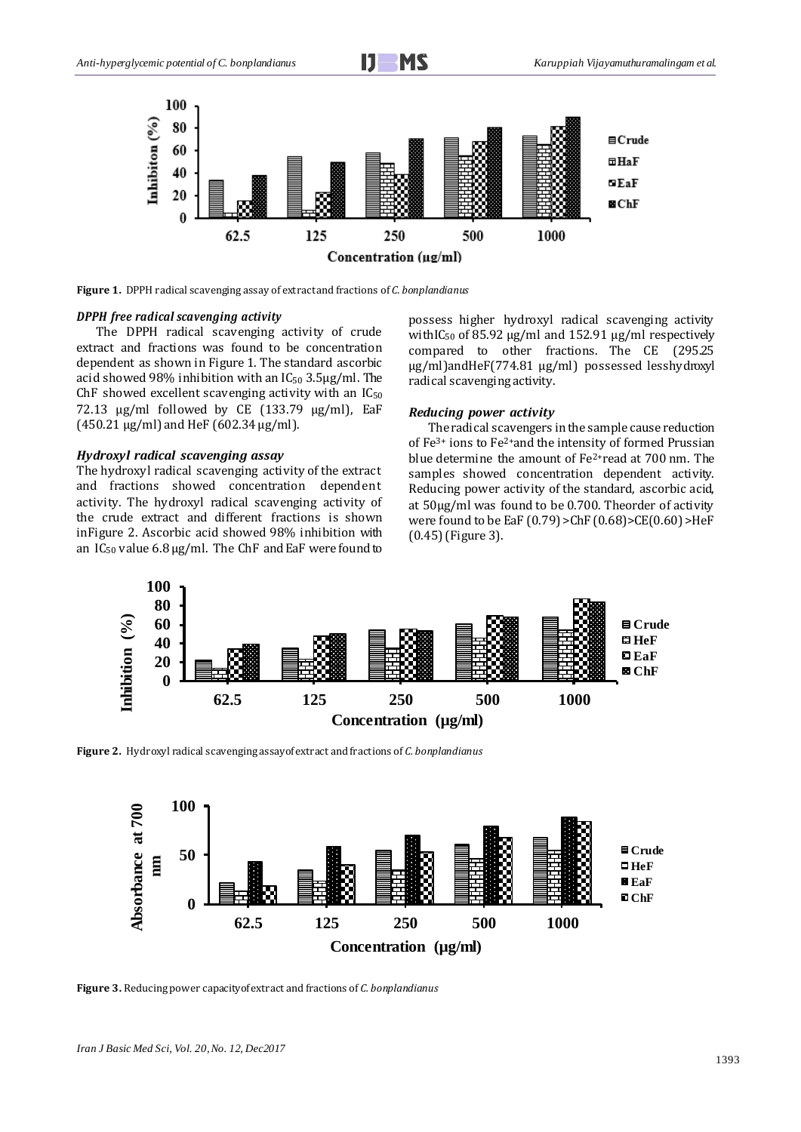

**Figure 1.** DPPH radical scavenging assay of extract and fractions of *C. bonplandianus*

## *DPPH free radical scavenging activity*

The DPPH radical scavenging activity of crude extract and fractions was found to be concentration dependent as shown in Figure 1. The standard ascorbic acid showed 98% inhibition with an  $IC_{50}$  3.5µg/ml. The ChF showed excellent scavenging activity with an  $IC_{50}$ 72.13  $\mu$ g/ml followed by CE (133.79  $\mu$ g/ml), EaF  $(450.21 \,\mu g/ml)$  and HeF  $(602.34 \,\mu g/ml)$ .

#### *Hydroxyl radical scavenging assay*

The hydroxyl radical scavenging activity of the extract and fractions showed concentration dependent activity. The hydroxyl radical scavenging activity of the crude extract and different fractions is shown inFigure 2. Ascorbic acid showed 98% inhibition with an  $IC_{50}$  value 6.8  $\mu$ g/ml. The ChF and EaF were found to possess higher hydroxyl radical scavenging activity withIC<sub>50</sub> of 85.92  $\mu$ g/ml and 152.91  $\mu$ g/ml respectively compared to other fractions. The CE (295.25 µg/ml)andHeF(774.81 µg/ml) possessed lesshydroxyl radical scavenging activity.

#### *Reducing power activity*

The radical scavengers in the sample cause reduction of Fe3+ ions to Fe2+and the intensity of formed Prussian blue determine the amount of Fe2+read at 700 nm. The samples showed concentration dependent activity. Reducing power activity of the standard, ascorbic acid, at 50µg/ml was found to be 0.700. Theorder of activity were found to be EaF (0.79) >ChF (0.68)>CE(0.60) >HeF (0.45) (Figure 3).



**Figure 2.** Hydroxyl radical scavenging assayof extract and fractions of *C. bonplandianus*



**Figure 3.** Reducing power capacityof extract and fractions of *C. bonplandianus*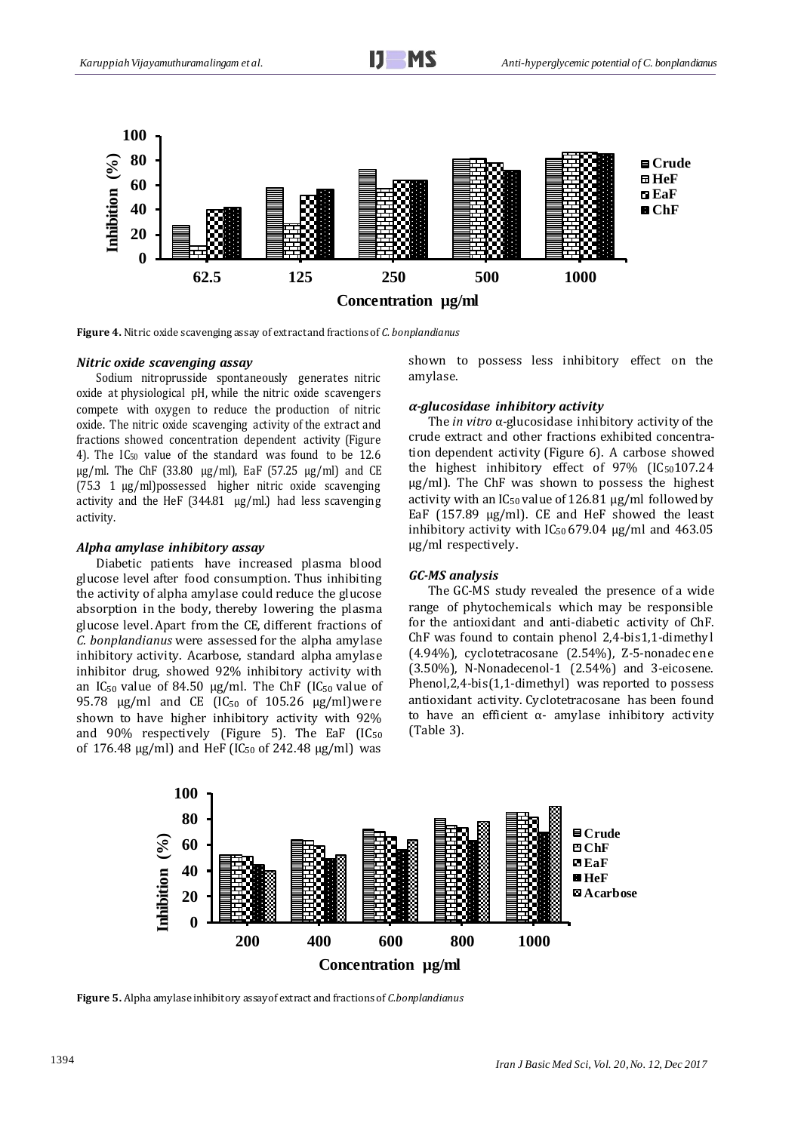

**Figure 4.** Nitric oxide scavenging assay of extract and fractions of *C. bonplandianus*

#### *Nitric oxide scavenging assay*

Sodium nitroprusside spontaneously generates nitric oxide at physiological pH, while the nitric oxide scavengers compete with oxygen to reduce the production of nitric oxide. The nitric oxide scavenging activity of the extract and fractions showed concentration dependent activity (Figure 4). The IC<sup>50</sup> value of the standard was found to be 12.6  $\mu$ g/ml. The ChF (33.80  $\mu$ g/ml), EaF (57.25  $\mu$ g/ml) and CE (75.3 1 µg/ml)possessed higher nitric oxide scavenging activity and the HeF (344.81  $\mu$ g/ml.) had less scavenging activity.

#### *Alpha amylase inhibitory assay*

Diabetic patients have increased plasma blood glucose level after food consumption. Thus inhibiting the activity of alpha amylase could reduce the glucose absorption in the body, thereby lowering the plasma glucose level. Apart from the CE, different fractions of *C. bonplandianus* were assessed for the alpha amylase inhibitory activity. Acarbose, standard alpha amylase inhibitor drug, showed 92% inhibitory activity with an IC<sub>50</sub> value of 84.50 µg/ml. The ChF (IC<sub>50</sub> value of 95.78  $\mu$ g/ml and CE (IC<sub>50</sub> of 105.26  $\mu$ g/ml)were shown to have higher inhibitory activity with 92% and  $90\%$  respectively (Figure 5). The EaF (IC<sub>50</sub>) of 176.48  $\mu$ g/ml) and HeF (IC<sub>50</sub> of 242.48  $\mu$ g/ml) was

shown to possess less inhibitory effect on the amylase.

#### *α-glucosidase inhibitory activity*

The *in vitro* α-glucosidase inhibitory activity of the crude extract and other fractions exhibited concentration dependent activity (Figure 6). A carbose showed the highest inhibitory effect of  $97\%$  (IC<sub>50</sub>107.24) µg/ml). The ChF was shown to possess the highest activity with an  $IC_{50}$  value of 126.81  $\mu$ g/ml followed by EaF (157.89 µg/ml). CE and HeF showed the least inhibitory activity with  $IC_{50}$  679.04  $\mu$ g/ml and 463.05 µg/ml respectively.

### *GC-MS analysis*

The GC-MS study revealed the presence of a wide range of phytochemicals which may be responsible for the antioxidant and anti-diabetic activity of ChF. ChF was found to contain phenol 2,4-bis1,1-dimethy l (4.94%), cyclotetracosane (2.54%), Z-5-nonadecene (3.50%), N-Nonadecenol-1 (2.54%) and 3-eicosene. Phenol,2,4-bis(1,1-dimethyl) was reported to possess antioxidant activity. Cyclotetracosane has been found to have an efficient  $α$ - amylase inhibitory activity (Table 3).



**Figure 5.** Alpha amylase inhibitory assayof extract and fractions of *C.bonplandianus*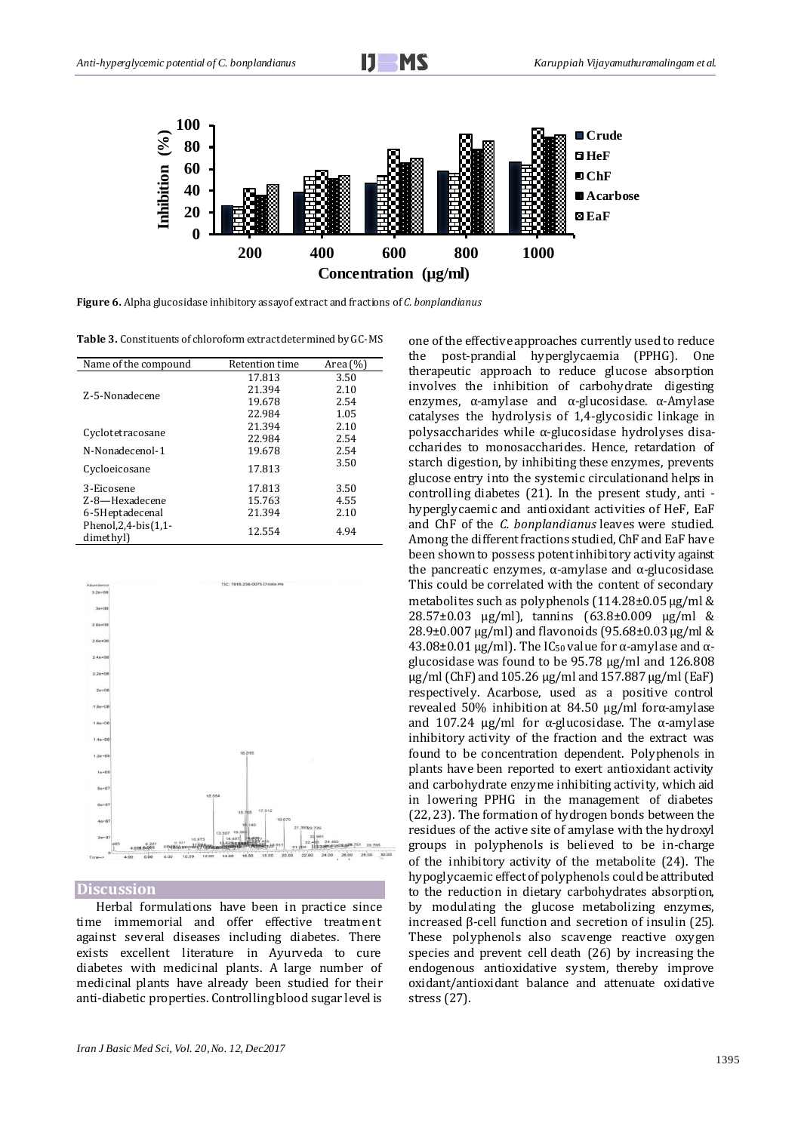

**Figure 6.** Alpha glucosidase inhibitory assayof extract and fractions of *C. bonplandianus*

**Table 3.** Constituents of chloroform extract determined by GC-MS

| Name of the compound                       | Retention time | Area (%) |
|--------------------------------------------|----------------|----------|
|                                            | 17.813         | 3.50     |
| Z-5-Nonadecene                             | 21.394         | 2.10     |
|                                            | 19.678         | 2.54     |
|                                            | 22.984         | 1.05     |
|                                            | 21.394         | 2.10     |
| Cyclotetracosane                           | 22.984         | 2.54     |
| N-Nonadecenol-1                            | 19.678         | 2.54     |
| Cycloeicosane                              | 17.813         | 3.50     |
| 3-Eicosene                                 | 17.813         | 3.50     |
| Z-8-Hexadecene                             | 15.763         | 4.55     |
| 6-5Heptadecenal                            | 21.394         | 2.10     |
| Phenol, $2, 4$ -bis $(1, 1$ -<br>dimethyl) | 12.554         | 4.94     |



**Discussion**

Herbal formulations have been in practice since time immemorial and offer effective treatment against several diseases including diabetes. There exists excellent literature in Ayurveda to cure diabetes with medicinal plants. A large number of medicinal plants have already been studied for their anti-diabetic properties. Controlling blood sugar level is

*Iran J Basic Med Sci, Vol. 20, No. 12, Dec2017*

one of the effective approaches currently used to reduce the post-prandial hyperglycaemia (PPHG). One therapeutic approach to reduce glucose absorption involves the inhibition of carbohydrate digesting enzymes, α-amylase and α-glucosidase. α-Amylase catalyses the hydrolysis of 1,4-glycosidic linkage in polysaccharides while α-glucosidase hydrolyses disaccharides to monosaccharides. Hence, retardation of starch digestion, by inhibiting these enzymes, prevents glucose entry into the systemic circulationand helps in controlling diabetes (21). In the present study, anti hyperglycaemic and antioxidant activities of HeF, EaF and ChF of the *C. bonplandianus* leaves were studied. Among the different fractions studied, ChF and EaF have been shown to possess potent inhibitory activity against the pancreatic enzymes,  $α$ -amylase and  $α$ -glucosidase. This could be correlated with the content of secondary metabolites such as polyphenols (114.28±0.05 µg/ml & 28.57±0.03 µg/ml), tannins (63.8±0.009 µg/ml & 28.9±0.007  $\mu$ g/ml) and flavonoids (95.68±0.03  $\mu$ g/ml & 43.08±0.01  $\mu$ g/ml). The IC<sub>50</sub> value for α-amylase and αglucosidase was found to be 95.78 µg/ml and 126.808 µg/ml (ChF) and 105.26 µg/ml and 157.887 µg/ml (EaF) respectively. Acarbose, used as a positive control revealed 50% inhibition at 84.50 µg/ml forα-amylase and 107.24  $\mu$ g/ml for α-glucosidase. The α-amylase inhibitory activity of the fraction and the extract was found to be concentration dependent. Polyphenols in plants have been reported to exert antioxidant activity and carbohydrate enzyme inhibiting activity, which aid in lowering PPHG in the management of diabetes (22, 23). The formation of hydrogen bonds between the residues of the active site of amylase with the hydroxyl groups in polyphenols is believed to be in-charge of the inhibitory activity of the metabolite (24). The hypoglycaemic effect of polyphenols could be attributed to the reduction in dietary carbohydrates absorption, by modulating the glucose metabolizing enzymes, increased β-cell function and secretion of insulin (25). These polyphenols also scavenge reactive oxygen species and prevent cell death (26) by increasing the endogenous antioxidative system, thereby improve oxidant/antioxidant balance and attenuate oxidative stress (27).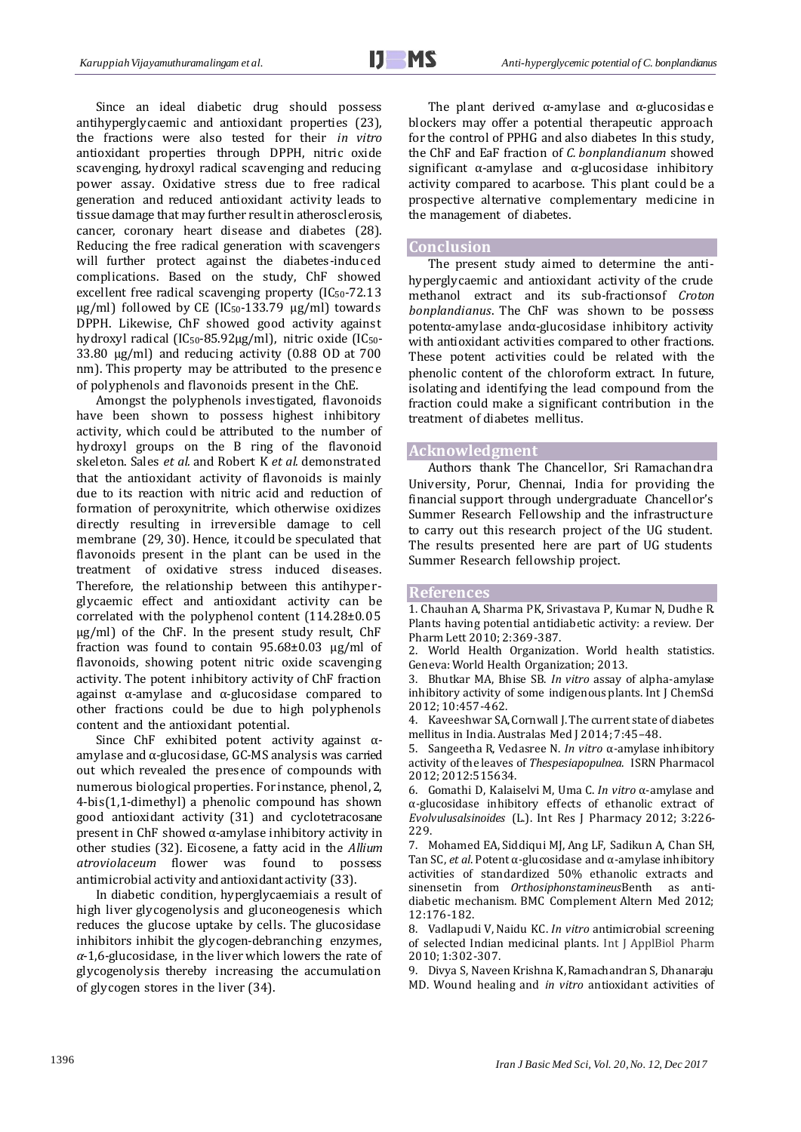Since an ideal diabetic drug should possess antihyperglycaemic and antioxidant properties (23), the fractions were also tested for their *in vitro* antioxidant properties through DPPH, nitric oxide scavenging, hydroxyl radical scavenging and reducing power assay. Oxidative stress due to free radical generation and reduced antioxidant activity leads to tissue damage that may further result in atherosclerosis, cancer, coronary heart disease and diabetes (28). Reducing the free radical generation with scavengers will further protect against the diabetes-induced complications. Based on the study, ChF showed excellent free radical scavenging property  $(IC_{50}$ -72.13  $\mu$ g/ml) followed by CE (IC<sub>50</sub>-133.79  $\mu$ g/ml) towards DPPH. Likewise, ChF showed good activity against hydroxyl radical (IC50-85.92µg/ml), nitric oxide (IC50- 33.80 µg/ml) and reducing activity (0.88 OD at 700 nm). This property may be attributed to the presence of polyphenols and flavonoids present in the ChE.

Amongst the polyphenols investigated, flavonoids have been shown to possess highest inhibitory activity, which could be attributed to the number of hydroxyl groups on the B ring of the flavonoid skeleton. Sales *et al.* and Robert K *et al.* demonstrated that the antioxidant activity of flavonoids is mainly due to its reaction with nitric acid and reduction of formation of peroxynitrite, which otherwise oxidizes directly resulting in irreversible damage to cell membrane (29, 30). Hence, it could be speculated that flavonoids present in the plant can be used in the treatment of oxidative stress induced diseases. Therefore, the relationship between this antihyperglycaemic effect and antioxidant activity can be correlated with the polyphenol content (114.28±0.05 µg/ml) of the ChF. In the present study result, ChF fraction was found to contain  $95.68\pm0.03$  µg/ml of flavonoids, showing potent nitric oxide scavenging activity. The potent inhibitory activity of ChF fraction against α-amylase and α-glucosidase compared to other fractions could be due to high polyphenols content and the antioxidant potential.

Since ChF exhibited potent activity against αamylase and α-glucosidase, GC-MS analysis was carried out which revealed the presence of compounds with numerous biological properties. For instance, phenol, 2, 4-bis(1,1-dimethyl) a phenolic compound has shown good antioxidant activity (31) and cyclotetracosane present in ChF showed α-amylase inhibitory activity in other studies (32). Eicosene, a fatty acid in the *Allium atroviolaceum* flower was found to possess antimicrobial activity and antioxidant activity (33).

In diabetic condition, hyperglycaemiais a result of high liver glycogenolysis and gluconeogenesis which reduces the glucose uptake by cells. The glucosidase inhibitors inhibit the glycogen-debranching enzymes, *α*-1,6-glucosidase, in the liver which lowers the rate of glycogenolysis thereby increasing the accumulation of glycogen stores in the liver (34).

The plant derived  $\alpha$ -amylase and  $\alpha$ -glucosidase blockers may offer a potential therapeutic approach for the control of PPHG and also diabetes In this study, the ChF and EaF fraction of *C. bonplandianum* showed significant α-amylase and α-glucosidase inhibitory activity compared to acarbose. This plant could be a prospective alternative complementary medicine in the management of diabetes.

## **Conclusion**

The present study aimed to determine the antihyperglycaemic and antioxidant activity of the crude methanol extract and its sub-fractionsof *Croton bonplandianus*. The ChF was shown to be possess potentα-amylase andα-glucosidase inhibitory activity with antioxidant activities compared to other fractions. These potent activities could be related with the phenolic content of the chloroform extract. In future, isolating and identifying the lead compound from the fraction could make a significant contribution in the treatment of diabetes mellitus.

## **Acknowledgment**

Authors thank The Chancellor, Sri Ramachandra University, Porur, Chennai, India for providing the financial support through undergraduate Chancellor's Summer Research Fellowship and the infrastructure to carry out this research project of the UG student. The results presented here are part of UG students Summer Research fellowship project.

## **References**

1. Chauhan A, Sharma PK, Srivastava P, Kumar N, Dudhe R. Plants having potential antidiabetic activity: a review. Der Pharm Lett 2010; 2:369-387.

2. World Health Organization. World health statistics. Geneva: World Health Organization; 2013.

3. Bhutkar MA, Bhise SB. *In vitro* assay of alpha-amylase inhibitory activity of some indigenous plants. Int J ChemSci 2012; 10:457-462.

4. Kaveeshwar SA, Cornwall J. The current state of diabetes mellitus in India. Australas Med J 2014; 7:45–48.

5. Sangeetha R, Vedasree N. *In vitro* α-amylase inhibitory activity of the leaves of *Thespesiapopulnea*. ISRN Pharmacol 2012; 2012:515634.

6. Gomathi D, Kalaiselvi M, Uma C. *In vitro* α-amylase and α-glucosidase inhibitory effects of ethanolic extract of *Evolvulusalsinoides* (L.). Int Res J Pharmacy 2012; 3:226- 229.

7. Mohamed EA, Siddiqui MJ, Ang LF, Sadikun A, Chan SH, Tan SC, *et al*. Potent α-glucosidase and α-amylase inhibitory activities of standardized 50% ethanolic extracts and sinensetin from *Orthosiphonstamineus*Benth as antidiabetic mechanism. BMC Complement Altern Med 2012; 12:176-182.

8. Vadlapudi V, Naidu KC. *In vitro* antimicrobial screening of selected Indian medicinal plants. Int J ApplBiol Pharm 2010; 1:302-307.

9. Divya S, Naveen Krishna K, Ramachandran S, Dhanaraju MD. Wound healing and *in vitro* antioxidant activities of